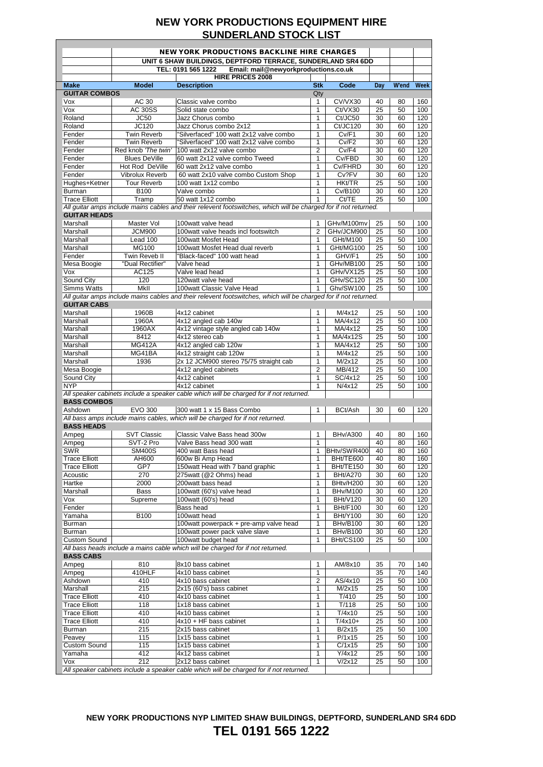$\overline{\phantom{a}}$ 

|                                              | <b>NEW YORK PRODUCTIONS BACKLINE HIRE CHARGES</b>           |                                                                                                                  |                                |                                    |          |          |             |
|----------------------------------------------|-------------------------------------------------------------|------------------------------------------------------------------------------------------------------------------|--------------------------------|------------------------------------|----------|----------|-------------|
|                                              | UNIT 6 SHAW BUILDINGS, DEPTFORD TERRACE, SUNDERLAND SR4 6DD |                                                                                                                  |                                |                                    |          |          |             |
|                                              |                                                             | TEL: 0191 565 1222<br>Email: mail@newyorkproductions.co.uk                                                       |                                |                                    |          |          |             |
| <b>Make</b>                                  | <b>Model</b>                                                | <b>HIRE PRICES 2008</b><br><b>Description</b>                                                                    | <b>Stk</b>                     | Code                               | Day      | W'end    | <b>Week</b> |
| <b>GUITAR COMBOS</b>                         |                                                             |                                                                                                                  | Qty                            |                                    |          |          |             |
| Vox                                          | AC 30                                                       | Classic valve combo                                                                                              | 1                              | CV/VX30                            | 40       | 80       | 160         |
| Vox                                          | <b>AC 30SS</b>                                              | Solid state combo                                                                                                | $\mathbf{1}$                   | Ct/VX30                            | 25       | 50       | 100         |
| Roland                                       | JC50                                                        | Jazz Chorus combo                                                                                                | $\mathbf{1}$                   | Ct/JC50                            | 30       | 60       | 120         |
| Roland                                       | JC120                                                       | Jazz Chorus combo 2x12                                                                                           | $\mathbf{1}$                   | Ct/JC120                           | 30       | 60       | 120         |
| Fender                                       | <b>Twin Reverb</b>                                          | "Silverfaced" 100 watt 2x12 valve combo                                                                          | $\mathbf{1}$                   | Cv/F1                              | 30       | 60       | 120         |
| Fender                                       | <b>Twin Reverb</b>                                          | "Silverfaced" 100 watt 2x12 valve combo                                                                          | $\mathbf{1}$                   | Cv/F2                              | 30       | 60       | 120         |
| Fender<br>Fender                             | Red knob 'The twin'<br><b>Blues DeVille</b>                 | 100 watt 2x12 valve combo<br>60 watt 2x12 valve combo Tweed                                                      | $\overline{2}$<br>$\mathbf{1}$ | Cv/F4<br>Cv/FBD                    | 30<br>30 | 60<br>60 | 120<br>120  |
| Fender                                       | Hot Rod DeVille                                             | 60 watt 2x12 valve combo                                                                                         | $\mathbf{1}$                   | Cv/FHRD                            | 30       | 60       | 120         |
| Fender                                       | <b>Vibrolux Reverb</b>                                      | 60 watt 2x10 valve combo Custom Shop                                                                             | $\mathbf{1}$                   | Cv?FV                              | 30       | 60       | 120         |
| Hughes+Ketner                                | <b>Tour Reverb</b>                                          | 100 watt 1x12 combo                                                                                              | $\mathbf{1}$                   | HKt/TR                             | 25       | 50       | 100         |
| Burman                                       | <b>B100</b>                                                 | Valve combo                                                                                                      | $\mathbf{1}$                   | Cv/B100                            | 30       | 60       | 120         |
| <b>Trace Elliott</b>                         | Tramp                                                       | 50 watt 1x12 combo                                                                                               | 1                              | Ct/TE                              | 25       | 50       | 100         |
|                                              |                                                             | All guitar amps include mains cables and their relevent footswitches, which will be charged for if not returned. |                                |                                    |          |          |             |
| <b>GUITAR HEADS</b>                          |                                                             |                                                                                                                  |                                |                                    |          |          |             |
| Marshall                                     | Master Vol                                                  | 100watt valve head                                                                                               | 1                              | GHv/M100mv                         | 25       | 50       | 100         |
| Marshall                                     | <b>JCM900</b>                                               | 100watt valve heads incl footswitch                                                                              | $\overline{2}$                 | GHv/JCM900                         | 25       | 50       | 100         |
| Marshall                                     | Lead 100                                                    | 100watt Mosfet Head                                                                                              | $\mathbf{1}$                   | GHt/M100                           | 25       | 50       | 100         |
| Marshall                                     | MG100                                                       | 100watt Mosfet Head dual reverb                                                                                  | 1                              | GHt/MG100                          | 25       | 50       | 100         |
| Fender<br>Mesa Boogie                        | Twin Reveb II<br>"Dual Rectifier"                           | "Black-faced" 100 watt head                                                                                      | 1                              | GHV/F1                             | 25       | 50       | 100         |
| Vox                                          | AC125                                                       | Valve head<br>Valve lead head                                                                                    | 1<br>$\mathbf{1}$              | GHv/MB100<br>GHv/VX125             | 25<br>25 | 50<br>50 | 100<br>100  |
| Sound City                                   | 120                                                         | 120watt valve head                                                                                               | $\mathbf{1}$                   | GHv/SC120                          | 25       | 50       | 100         |
| <b>Simms Watts</b>                           | <b>MkII</b>                                                 | 100watt Classic Valve Head                                                                                       | 1                              | Ghv/SW100                          | 25       | 50       | 100         |
|                                              |                                                             | All quitar amps include mains cables and their relevent footswitches, which will be charged for if not returned. |                                |                                    |          |          |             |
| <b>GUITAR CABS</b>                           |                                                             |                                                                                                                  |                                |                                    |          |          |             |
| Marshall                                     | 1960B                                                       | 4x12 cabinet                                                                                                     | 1                              | M/4x12                             | 25       | 50       | 100         |
| Marshall                                     | 1960A                                                       | 4x12 angled cab 140w                                                                                             | $\mathbf{1}$                   | MA/4x12                            | 25       | 50       | 100         |
| Marshall                                     | 1960AX                                                      | 4x12 vintage style angled cab 140w                                                                               | 1                              | MA/4x12                            | 25       | 50       | 100         |
| Marshall                                     | 8412                                                        | 4x12 stereo cab                                                                                                  | 1                              | MA/4x12S                           | 25       | 50       | 100         |
| Marshall                                     | <b>MG412A</b>                                               | 4x12 angled cab 120w                                                                                             | 1                              | $\overline{MA}/4x12$               | 25       | 50       | 100         |
| Marshall                                     | MG41BA                                                      | 4x12 straight cab 120w                                                                                           | 1                              | M/4x12                             | 25       | 50       | 100         |
| Marshall                                     | 1936                                                        | 2x 12 JCM900 stereo 75/75 straight cab                                                                           | $\mathbf{1}$                   | M/2x12                             | 25       | 50       | 100         |
| Mesa Boogie                                  |                                                             | 4x12 angled cabinets                                                                                             | $\overline{2}$                 | MB/412                             | 25       | 50       | 100         |
| Sound City                                   |                                                             | 4x12 cabinet                                                                                                     | $\mathbf{1}$                   | SC/4x12                            | 25       | 50       | 100         |
| <b>NYP</b>                                   |                                                             | 4x12 cabinet                                                                                                     | $\mathbf{1}$                   | N/4x12                             | 25       | 50       | 100         |
| <b>BASS COMBOS</b>                           |                                                             | All speaker cabinets include a speaker cable which will be charged for if not returned.                          |                                |                                    |          |          |             |
| Ashdown                                      | <b>EVO 300</b>                                              | 300 watt 1 x 15 Bass Combo                                                                                       | 1                              | BCt/Ash                            | 30       | 60       | 120         |
|                                              |                                                             | All bass amps include mains cables, which will be charged for if not returned.                                   |                                |                                    |          |          |             |
| <b>BASS HEADS</b>                            |                                                             |                                                                                                                  |                                |                                    |          |          |             |
| Ampeg                                        | <b>SVT Classic</b>                                          | Classic Valve Bass head 300w                                                                                     | 1                              | <b>BHv/A300</b>                    | 40       | 80       | 160         |
| Ampeg                                        | SVT-2 Pro                                                   | Valve Bass head 300 watt                                                                                         | $\mathbf{1}$                   |                                    | 40       | 80       | 160         |
| <b>SWR</b>                                   | <b>SM400S</b>                                               | 400 watt Bass head                                                                                               | $\mathbf{1}$                   | BHtv/SWR400                        | 40       | 80       | 160         |
| <b>Trace Elliott</b>                         | AH600                                                       | 600w Bi Amp Head                                                                                                 | 1                              | BHt/TE600                          | 40       | 80       | 160         |
| <b>Trace Elliott</b>                         | GP7                                                         | 150 watt Head with 7 band graphic                                                                                | $\mathbf{1}$                   | BHt/TE150                          | 30       | 60       | 120         |
| Acoustic                                     | 270                                                         | 275watt (@2 Ohms) head                                                                                           | $\mathbf{1}$                   | <b>BHt/A270</b>                    | 30       | 60       | 120         |
| Hartke                                       | 2000                                                        | 200watt bass head                                                                                                | 1                              | BHtv/H200                          | 30       | 60       | 120         |
| Marshall                                     | <b>Bass</b>                                                 | 100watt (60's) valve head                                                                                        | $\mathbf{1}$                   | <b>BHv/M100</b>                    | 30       | 60       | 120         |
| Vox<br>Fender                                | Supreme                                                     | 100watt (60's) head<br>Bass head                                                                                 | 1<br>1                         | <b>BHt/V120</b><br><b>BHt/F100</b> | 30<br>30 | 60<br>60 | 120<br>120  |
| Yamaha                                       | <b>B100</b>                                                 | 100watt head                                                                                                     | 1                              | <b>BHt/Y100</b>                    | 30       | 60       | 120         |
| Burman                                       |                                                             | 100watt powerpack + pre-amp valve head                                                                           | 1                              | <b>BHv/B100</b>                    | 30       | 60       | 120         |
| Burman                                       |                                                             | 100watt power pack valve slave                                                                                   | 1                              | <b>BHv/B100</b>                    | 30       | 60       | 120         |
| <b>Custom Sound</b>                          |                                                             | 100watt budget head                                                                                              | 1                              | BHt/CS100                          | 25       | 50       | 100         |
|                                              |                                                             | All bass heads include a mains cable which will be charged for if not returned.                                  |                                |                                    |          |          |             |
| <b>BASS CABS</b>                             |                                                             |                                                                                                                  |                                |                                    |          |          |             |
| Ampeg                                        | 810                                                         | 8x10 bass cabinet                                                                                                | 1                              | AM/8x10                            | 35       | 70       | 140         |
| Ampeg                                        | 410HLF                                                      | 4x10 bass cabinet                                                                                                | $\mathbf{1}$                   |                                    | 35       | 70       | 140         |
| Ashdown                                      | 410                                                         | 4x10 bass cabinet                                                                                                | $\overline{2}$                 | AS/4x10                            | 25       | 50       | 100         |
| Marshall                                     | 215                                                         | 2x15 (60's) bass cabinet                                                                                         | $\mathbf{1}$                   | M/2x15                             | 25       | 50       | 100         |
| <b>Trace Elliott</b>                         | 410                                                         | 4x10 bass cabinet                                                                                                | $\mathbf{1}$                   | T/410                              | 25       | 50       | 100         |
| <b>Trace Elliott</b>                         | 118                                                         | 1x18 bass cabinet                                                                                                | $\mathbf{1}$                   | T/118                              | 25       | 50       | 100         |
| <b>Trace Elliott</b><br><b>Trace Elliott</b> | 410<br>410                                                  | 4x10 bass cabinet                                                                                                | $\mathbf{1}$<br>$\mathbf{1}$   | T/4x10                             | 25       | 50<br>50 | 100         |
| Burman                                       | 215                                                         | 4x10 + HF bass cabinet<br>2x15 bass cabinet                                                                      | $\mathbf{1}$                   | $T/4x10+$<br>B/2x15                | 25<br>25 | 50       | 100<br>100  |
| Peavey                                       | 115                                                         | 1x15 bass cabinet                                                                                                | $\mathbf{1}$                   | P/1x15                             | 25       | 50       | 100         |
| <b>Custom Sound</b>                          | 115                                                         | 1x15 bass cabinet                                                                                                | $\mathbf{1}$                   | C/1x15                             | 25       | 50       | 100         |
| Yamaha                                       | 412                                                         | 4x12 bass cabinet                                                                                                | 1                              | Y/4x12                             | 25       | 50       | 100         |
| Vox                                          | 212                                                         | 2x12 bass cabinet                                                                                                | $\mathbf{1}$                   | V/2x12                             | 25       | 50       | 100         |
|                                              |                                                             | All speaker cabinets include a speaker cable which will be charged for if not returned.                          |                                |                                    |          |          |             |

**NEW YORK PRODUCTIONS NYP LIMITED SHAW BUILDINGS, DEPTFORD, SUNDERLAND SR4 6DD TEL 0191 565 1222**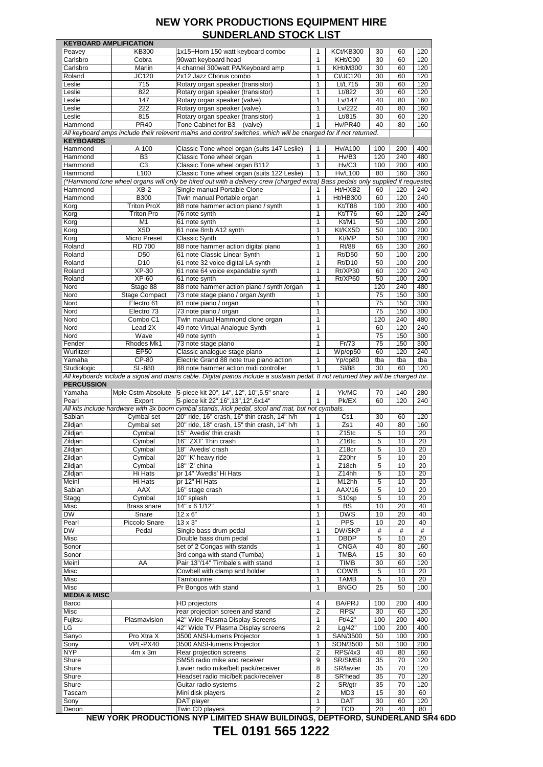|                         | <b>KEYBOARD AMPLIFICATION</b> |                                                                                                                                    |                                |                   |          |          |           |
|-------------------------|-------------------------------|------------------------------------------------------------------------------------------------------------------------------------|--------------------------------|-------------------|----------|----------|-----------|
| Peavey                  | <b>KB300</b>                  | 1x15+Horn 150 watt keyboard combo                                                                                                  | 1                              | KCt/KB300         | 30       | 60       | 120       |
| Carlsbro                | Cobra                         | 90watt keyboard head                                                                                                               | 1                              | KHt/C90           | 30       | 60       | 120       |
|                         |                               |                                                                                                                                    |                                |                   |          |          |           |
| Carlsbro                | Marlin                        | 4 channel 300watt PA/Keyboard amp                                                                                                  | 1                              | <b>KHt/M300</b>   | 30       | 60       | 120       |
| Roland                  | JC120                         | 2x12 Jazz Chorus combo                                                                                                             | 1                              | Ct/JC120          | 30       | 60       | 120       |
| Leslie                  | 715                           | Rotary organ speaker (transistor)                                                                                                  | 1                              | Lt/L715           | 30       | 60       | 120       |
| Leslie                  | 822                           | Rotary organ speaker (transistor)                                                                                                  | 1                              | Lt/822            | 30       | 60       | 120       |
| Leslie                  | 147                           |                                                                                                                                    | $\mathbf{1}$                   | Lv/147            | 40       | 80       | 160       |
|                         |                               | Rotary organ speaker (valve)                                                                                                       |                                |                   |          |          |           |
| Leslie                  | 222                           | Rotary organ speaker (valve)                                                                                                       | 1                              | Lv/222            | 40       | 80       | 160       |
| Leslie                  | 815                           | Rotary organ speaker (transistor)                                                                                                  | $\mathbf{1}$                   | Lt/815            | 30       | 60       | 120       |
| Hammond                 | <b>PR40</b>                   | Tone Cabinet for B3<br>(valve)                                                                                                     | 1                              | Hv/PR40           | 40       | 80       | 160       |
|                         |                               | All keyboard amps include their relevent mains and control switches, which will be charged for if not returned.                    |                                |                   |          |          |           |
|                         |                               |                                                                                                                                    |                                |                   |          |          |           |
| <b>KEYBOARDS</b>        |                               |                                                                                                                                    |                                |                   |          |          |           |
| Hammond                 | A 100                         | Classic Tone wheel organ (suits 147 Leslie)                                                                                        | 1                              | <b>Hv/A100</b>    | 100      | 200      | 400       |
| Hammond                 | B <sub>3</sub>                | Classic Tone wheel organ                                                                                                           | 1                              | Hv/B3             | 120      | 240      | 480       |
| Hammond                 | C <sub>3</sub>                | Classic Tone wheel organ B112                                                                                                      | $\mathbf{1}$                   | Hv/C3             | 100      | 200      | 400       |
|                         | L100                          |                                                                                                                                    | $\mathbf{1}$                   | <b>Hv/L100</b>    | 80       | 160      |           |
| Hammond                 |                               | Classic Tone wheel organ (suits 122 Leslie)                                                                                        |                                |                   |          |          | 360       |
|                         |                               | (*Hammond tone wheel organs will only be hired out with a delivery crew (charged extra) Bass pedals only supplied if requested     |                                |                   |          |          |           |
| Hammond                 | $XB-2$                        | Single manual Portable Clone                                                                                                       | 1                              | Ht/HXB2           | 60       | 120      | 240       |
| Hammond                 | <b>B300</b>                   | Twin manual Portable organ                                                                                                         | $\mathbf{1}$                   | <b>Ht/HB300</b>   | 60       | 120      | 240       |
| Korg                    | <b>Triton ProX</b>            | 88 note hammer action piano / synth                                                                                                | 1                              | Kt/T88            | 100      | 200      | 400       |
|                         |                               |                                                                                                                                    |                                |                   |          |          |           |
| Korg                    | <b>Triton Pro</b>             | 76 note synth                                                                                                                      | 1                              | Kt/T76            | 60       | 120      | 240       |
| Korg                    | M <sub>1</sub>                | 61 note synth                                                                                                                      | 1                              | Kt/M1             | 50       | 100      | 200       |
| Korg                    | X <sub>5</sub> D              | 61 note 8mb A12 synth                                                                                                              | 1                              | Kt/KX5D           | 50       | 100      | 200       |
| Korg                    | Micro Preset                  | <b>Classic Synth</b>                                                                                                               | 1                              | Kt/MP             | 50       | 100      | 200       |
|                         |                               | 88 note hammer action digital piano                                                                                                | 1                              |                   |          |          |           |
| Roland                  | <b>RD 700</b>                 |                                                                                                                                    |                                | Rt/88             | 65       | 130      | 260       |
| Roland                  | D <sub>50</sub>               | 61 note Classic Linear Synth                                                                                                       | 1                              | Rt/D50            | 50       | 100      | 200       |
| Roland                  | D <sub>10</sub>               | 61 note 32 voice digital LA synth                                                                                                  | 1                              | Rt/D10            | 50       | 100      | 200       |
| Roland                  | XP-30                         | 61 note 64 voice expandable synth                                                                                                  | $\mathbf{1}$                   | Rt/XP30           | 60       | 120      | 240       |
| Roland                  | XP-60                         | 61 note synth                                                                                                                      | $\mathbf{1}$                   | Rt/XP60           | 50       | 100      | 200       |
|                         |                               |                                                                                                                                    |                                |                   |          |          |           |
| Nord                    | Stage 88                      | 88 note hammer action piano / synth /organ                                                                                         | 1                              |                   | 120      | 240      | 480       |
| Nord                    | <b>Stage Compact</b>          | 73 note stage piano / organ /synth                                                                                                 | 1                              |                   | 75       | 150      | 300       |
| Nord                    | Electro 61                    | 61 note piano / organ                                                                                                              | 1                              |                   | 75       | 150      | 300       |
| Nord                    | Electro 73                    | 73 note piano / organ                                                                                                              | 1                              |                   | 75       | 150      | 300       |
|                         |                               |                                                                                                                                    |                                |                   |          |          |           |
| Nord                    | Combo C1                      | Twin manual Hammond clone organ                                                                                                    | 1                              |                   | 120      | 240      | 480       |
| Nord                    | Lead 2X                       | 49 note Virtual Analogue Synth                                                                                                     | 1                              |                   | 60       | 120      | 240       |
| Nord                    | Wave                          | 49 note synth                                                                                                                      | 1                              |                   | 75       | 150      | 300       |
| Fender                  | Rhodes Mk1                    | 73 note stage piano                                                                                                                | $\mathbf{1}$                   | Fr/73             | 75       | 150      | 300       |
|                         |                               |                                                                                                                                    |                                |                   |          |          |           |
| Wurlitzer               | EP50                          | Classic analogue stage piano                                                                                                       | $\mathbf{1}$                   | Wp/ep50           | 60       | 120      | 240       |
| Yamaha                  | CP-80                         | Electric Grand 88 note true piano action                                                                                           | 1                              | Yp/cp80           | tba      | tba      | tba       |
| Studiologic             | SL-880                        | 88 note hammer action midi controller                                                                                              | 1                              | <b>SI/88</b>      | 30       | 60       | 120       |
|                         |                               | All keyboards include a signal and mains cable. Digital pianos include a sustaain pedal. If not returned they will be charged for. |                                |                   |          |          |           |
| <b>PERCUSSION</b>       |                               |                                                                                                                                    |                                |                   |          |          |           |
|                         |                               |                                                                                                                                    |                                |                   |          |          |           |
| Yamaha                  | Mple Cstm Absolute            | 5-piece kit 20", 14", 12", 10", 5.5" snare                                                                                         | $\mathbf 1$                    | Yk/MC             | 70       | 140      | 280       |
| Pearl                   | Export                        | 5-piece kit 22", 16", 13", 12", 6x14"                                                                                              | 1                              | Pk/EX             | 60       | 120      | 240       |
|                         |                               | All kits include hardware with 3x boom cymbal stands, kick pedal, stool and mat, but not cymbals.                                  |                                |                   |          |          |           |
|                         | Cymbal set                    | 20" ride, 16" crash, 16" thin crash, 14" h/h                                                                                       |                                | Cs1               | 30       | 60       | 120       |
|                         |                               |                                                                                                                                    |                                |                   |          |          |           |
| Sabian                  |                               |                                                                                                                                    | 1                              |                   |          |          | 160       |
| Zildjan                 | Cymbal set                    | 20" ride, 18" crash, 15" thin crash, 14" h/h                                                                                       | $\mathbf{1}$                   | Zs1               | 40       | 80       |           |
| Zildjan                 | Cymbal                        | 15" 'Avedis' thin crash                                                                                                            | $\mathbf{1}$                   | Z <sub>15tc</sub> | 5        | 10       | 20        |
|                         |                               | 16" 'ZXT' Thin crash                                                                                                               | 1                              | Z <sub>16tc</sub> | 5        | 10       | 20        |
| Zildjan                 | Cymbal                        |                                                                                                                                    |                                |                   |          |          |           |
| Zildjan                 | Cymbal                        | 18" 'Avedis' crash                                                                                                                 | 1                              | Z <sub>18cr</sub> | 5        | 10       | 20        |
| Zildjan                 | Cymbal                        | 20" 'K' heavy ride                                                                                                                 | 1                              | Z20hr             | 5        | 10       | 20        |
| Zildjan                 | Cymbal                        | 18" 'Z' china                                                                                                                      | 1                              | Z18ch             | 5        | 10       | 20        |
| Zildjan                 | Hi Hats                       | pr 14" 'Avedis' Hi Hats                                                                                                            | 1                              | Z14hh             | 5        | 10       | 20        |
|                         |                               |                                                                                                                                    |                                |                   |          |          |           |
| Meinl                   | Hi Hats                       | pr 12" Hi Hats                                                                                                                     | 1                              | M12hh             | 5        | 10       | 20        |
| Sabian                  | AAX                           | 16" stage crash                                                                                                                    | 1                              | AAX/16            | 5        | 10       | 20        |
| Stagg                   | Cymbal                        | 10" splash                                                                                                                         | 1                              | S <sub>10sp</sub> | 5        | 10       | 20        |
| Misc                    | Brass snare                   | 14" x 6 1/12"                                                                                                                      | 1                              | BS                | 10       | 20       | 40        |
| DW                      | Snare                         | $12 \times 6"$                                                                                                                     | 1                              | <b>DWS</b>        | 10       | 20       | 40        |
|                         |                               |                                                                                                                                    |                                |                   |          |          |           |
| Pearl                   | Piccolo Snare                 | $13 \times 3"$                                                                                                                     | 1                              | PPS               | 10       | 20       | 40        |
| DW                      | Pedal                         | Single bass drum pedal                                                                                                             | 1                              | <b>DW/SKP</b>     | $\#$     | #        | #         |
| Misc                    |                               | Double bass drum pedal                                                                                                             | 1                              | <b>DBDP</b>       | 5        | 10       | 20        |
| Sonor                   |                               | set of 2 Congas with stands                                                                                                        | 1                              | <b>CNGA</b>       | 40       | 80       | 160       |
|                         |                               |                                                                                                                                    | 1                              | <b>TMBA</b>       | 15       | 30       | 60        |
| Sonor                   |                               | 3rd conga with stand (Tumba)                                                                                                       |                                |                   |          |          |           |
| Meinl                   | AA                            | Pair 13"/14" Timbale's with stand                                                                                                  | 1                              | <b>TIMB</b>       | 30       | 60       | 120       |
| Misc                    |                               | Cowbell with clamp and holder                                                                                                      | 1                              | COWB              | 5        | 10       | 20        |
| Misc                    |                               | Tambourine                                                                                                                         | 1                              | <b>TAMB</b>       | 5        | 10       | 20        |
| Misc                    |                               |                                                                                                                                    | $\mathbf{1}$                   | <b>BNGO</b>       | 25       | 50       | 100       |
|                         |                               | Pr Bongos with stand                                                                                                               |                                |                   |          |          |           |
| <b>MEDIA &amp; MISC</b> |                               |                                                                                                                                    |                                |                   |          |          |           |
| Barco                   |                               | HD projectors                                                                                                                      | 4                              | <b>BA/PRJ</b>     | 100      | 200      | 400       |
| Misc                    |                               | rear projection screen and stand                                                                                                   | $\overline{2}$                 | RPS/              | 30       | 60       | 120       |
| Fujitsu                 | Plasmavision                  | 42" Wide Plasma Display Screens                                                                                                    | 1                              | Ft/42"            | 100      | 200      | 400       |
|                         |                               |                                                                                                                                    |                                |                   |          |          |           |
| LG                      |                               | 42" Wide TV Plasma Display screens                                                                                                 | $\overline{2}$                 | Lg/42"            | 100      | 200      | 400       |
| Sanyo                   | Pro Xtra X                    | 3500 ANSI-lumens Projector                                                                                                         | $\mathbf{1}$                   | SAN/3500          | 50       | 100      | 200       |
| Sony                    | VPL-PX40                      | 3500 ANSI-lumens Projector                                                                                                         | $\mathbf{1}$                   | SON/3500          | 50       | 100      | 200       |
| <b>NYP</b>              | $4m \times 3m$                | Rear projection screens                                                                                                            | $\overline{2}$                 | RPS/4x3           | 40       | 80       | 160       |
|                         |                               |                                                                                                                                    |                                |                   |          |          |           |
| Shure                   |                               | SM58 radio mike and receiver                                                                                                       | 9                              | SR/SM58           | 35       | 70       | 120       |
| Shure                   |                               | Lavier radio mike/belt pack/receiver                                                                                               | 8                              | SR/lavier         | 35       | 70       | 120       |
| Shure                   |                               | Headset radio mic/belt pack/receiver                                                                                               | 8                              | SR'head           | 35       | 70       | 120       |
| Shure                   |                               | Guitar radio systems                                                                                                               | $\overline{2}$                 | SR/gtr            | 35       | 70       | 120       |
|                         |                               |                                                                                                                                    | $\overline{2}$                 | MD <sub>3</sub>   |          | 30       |           |
| Tascam                  |                               | Mini disk players                                                                                                                  |                                |                   | 15       |          | 60        |
| Sony<br>Denon           |                               | DAT player<br>Twin CD players                                                                                                      | $\mathbf{1}$<br>$\overline{2}$ | <b>DAT</b><br>TCD | 30<br>20 | 60<br>40 | 120<br>80 |

**NEW YORK PRODUCTIONS NYP LIMITED SHAW BUILDINGS, DEPTFORD, SUNDERLAND SR4 6DD**

# **TEL 0191 565 1222**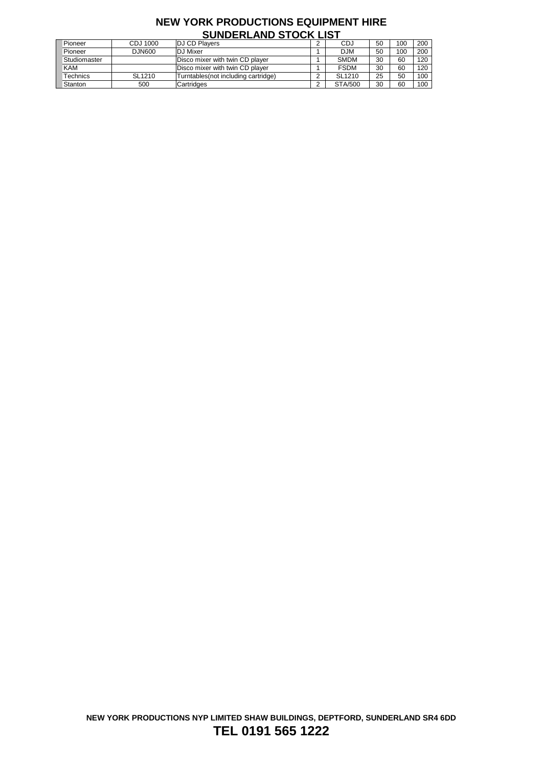| <u>UUNDENEAND UTUUN EIUT</u> |                    |                                     |  |                    |    |     |     |  |
|------------------------------|--------------------|-------------------------------------|--|--------------------|----|-----|-----|--|
| Pioneer                      | CDJ 1000           | <b>DJ CD Players</b>                |  | CDJ                | 50 | 100 | 200 |  |
| Pioneer                      | DJN600             | <b>DJ</b> Mixer                     |  | <b>DJM</b>         | 50 | 100 | 200 |  |
| Studiomaster                 |                    | Disco mixer with twin CD player     |  | <b>SMDM</b>        | 30 | 60  | 120 |  |
| <b>KAM</b>                   |                    | Disco mixer with twin CD player     |  | <b>FSDM</b>        | 30 | 60  | 120 |  |
| Technics                     | SL <sub>1210</sub> | Turntables(not including cartridge) |  | SL <sub>1210</sub> | 25 | 50  | 100 |  |
| Stanton                      | 500                | Cartridges                          |  | <b>STA/500</b>     | 30 | 60  | 100 |  |